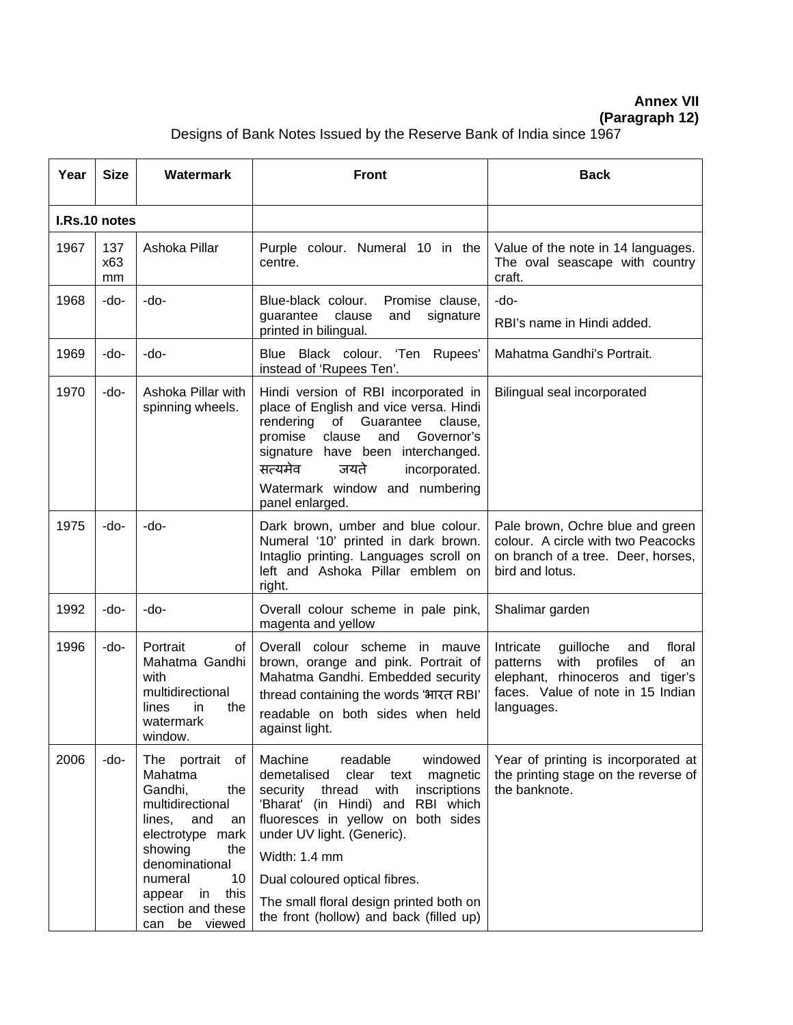**Annex VII**

**(Paragraph 12)**

Designs of Bank Notes Issued by the Reserve Bank of India since 1967

| Year | <b>Size</b>      | <b>Watermark</b>                                                                                                                                                                            | <b>Front</b>                                                                                                                                                                                                                                                                                                              | <b>Back</b>                                                                                                                                                                   |
|------|------------------|---------------------------------------------------------------------------------------------------------------------------------------------------------------------------------------------|---------------------------------------------------------------------------------------------------------------------------------------------------------------------------------------------------------------------------------------------------------------------------------------------------------------------------|-------------------------------------------------------------------------------------------------------------------------------------------------------------------------------|
|      | I.Rs.10 notes    |                                                                                                                                                                                             |                                                                                                                                                                                                                                                                                                                           |                                                                                                                                                                               |
| 1967 | 137<br>x63<br>mm | Ashoka Pillar                                                                                                                                                                               | Purple colour. Numeral 10 in the<br>centre.                                                                                                                                                                                                                                                                               | Value of the note in 14 languages.<br>The oval seascape with country<br>craft.                                                                                                |
| 1968 | $-do-$           | -do-                                                                                                                                                                                        | Blue-black colour.<br>Promise clause,<br>clause<br>guarantee<br>and<br>signature<br>printed in bilingual.                                                                                                                                                                                                                 | -do-<br>RBI's name in Hindi added.                                                                                                                                            |
| 1969 | -do-             | -do-                                                                                                                                                                                        | Blue Black colour. 'Ten Rupees'<br>instead of 'Rupees Ten'.                                                                                                                                                                                                                                                               | Mahatma Gandhi's Portrait.                                                                                                                                                    |
| 1970 | -do-             | Ashoka Pillar with<br>spinning wheels.                                                                                                                                                      | Hindi version of RBI incorporated in<br>place of English and vice versa. Hindi<br>rendering<br>of Guarantee<br>clause,<br>Governor's<br>promise<br>clause<br>and<br>signature have been interchanged.<br>सत्यमेव<br>जयते<br>incorporated.<br>Watermark window and numbering<br>panel enlarged.                            | Bilingual seal incorporated                                                                                                                                                   |
| 1975 | -do-             | -do-                                                                                                                                                                                        | Dark brown, umber and blue colour.<br>Numeral '10' printed in dark brown.<br>Intaglio printing. Languages scroll on<br>left and Ashoka Pillar emblem on<br>right.                                                                                                                                                         | Pale brown, Ochre blue and green<br>colour. A circle with two Peacocks<br>on branch of a tree. Deer, horses,<br>bird and lotus.                                               |
| 1992 | -do-             | -do-                                                                                                                                                                                        | Overall colour scheme in pale pink,<br>magenta and yellow                                                                                                                                                                                                                                                                 | Shalimar garden                                                                                                                                                               |
| 1996 | -do-             | Portrait<br>οf<br>Mahatma Gandhi<br>with<br>multidirectional<br>lines<br>the<br>in.<br>watermark<br>window.                                                                                 | Overall colour scheme in mauve<br>brown, orange and pink. Portrait of<br>Mahatma Gandhi. Embedded security<br>thread containing the words 'भारत RBI'<br>readable on both sides when held<br>against light.                                                                                                                | guilloche<br>floral<br>Intricate<br>and<br>with<br>patterns<br>profiles<br>of<br>an<br>rhinoceros and tiger's<br>elephant,<br>faces. Value of note in 15 Indian<br>languages. |
| 2006 | -do-             | The portrait<br>оf<br>Mahatma<br>Gandhi,<br>the<br>multidirectional<br>lines,<br>and<br>an<br>electrotype mark<br>showing<br>the<br>denominational<br>10<br>numeral<br>this<br>in<br>appear | Machine<br>readable<br>windowed<br>demetalised<br>clear text<br>magnetic<br>security thread<br>with<br>inscriptions<br>'Bharat' (in Hindi) and RBI which<br>fluoresces in yellow on both sides<br>under UV light. (Generic).<br>Width: 1.4 mm<br>Dual coloured optical fibres.<br>The small floral design printed both on | Year of printing is incorporated at<br>the printing stage on the reverse of<br>the banknote.                                                                                  |
|      |                  | section and these<br>be viewed<br>can                                                                                                                                                       | the front (hollow) and back (filled up)                                                                                                                                                                                                                                                                                   |                                                                                                                                                                               |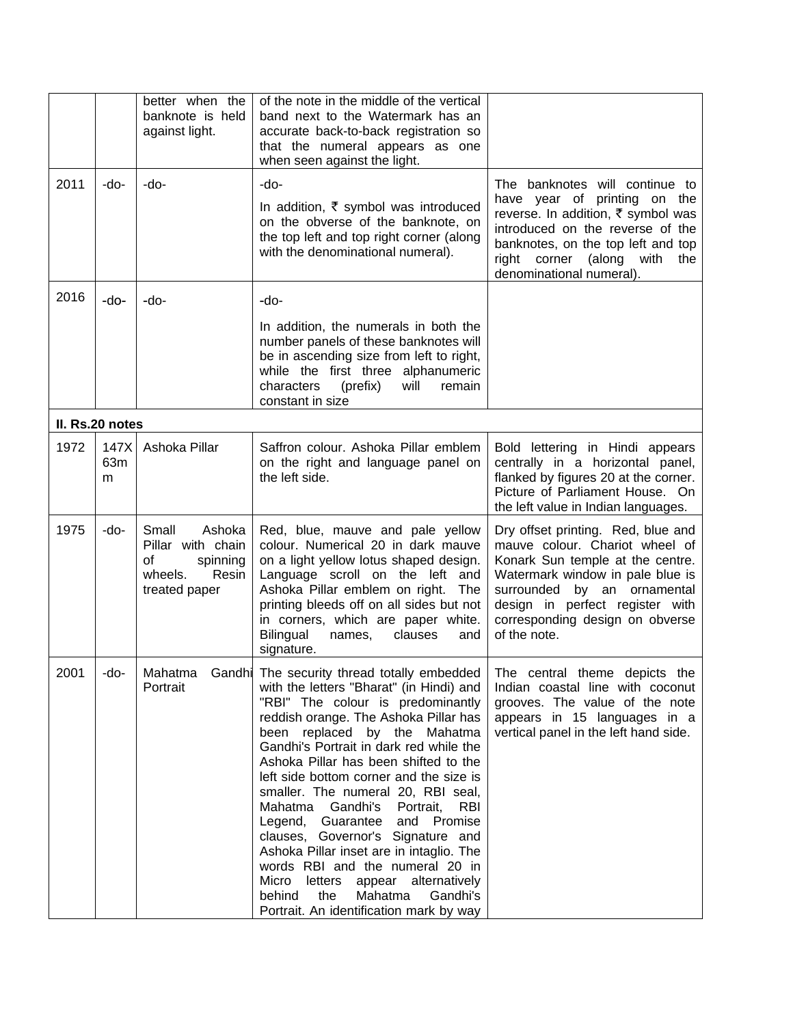|      |                  | better when the<br>banknote is held<br>against light.                                       | of the note in the middle of the vertical<br>band next to the Watermark has an<br>accurate back-to-back registration so<br>that the numeral appears as one<br>when seen against the light.                                                                                                                                                                                                                                                                                                                                                                                                                                                                                                                          |                                                                                                                                                                                                                                                                      |
|------|------------------|---------------------------------------------------------------------------------------------|---------------------------------------------------------------------------------------------------------------------------------------------------------------------------------------------------------------------------------------------------------------------------------------------------------------------------------------------------------------------------------------------------------------------------------------------------------------------------------------------------------------------------------------------------------------------------------------------------------------------------------------------------------------------------------------------------------------------|----------------------------------------------------------------------------------------------------------------------------------------------------------------------------------------------------------------------------------------------------------------------|
| 2011 | -do-             | -do-                                                                                        | -do-<br>In addition, $\bar{\tau}$ symbol was introduced<br>on the obverse of the banknote, on<br>the top left and top right corner (along<br>with the denominational numeral).                                                                                                                                                                                                                                                                                                                                                                                                                                                                                                                                      | The banknotes will continue to<br>have year of printing on the<br>reverse. In addition, ₹ symbol was<br>introduced on the reverse of the<br>banknotes, on the top left and top<br>right corner (along with the<br>denominational numeral).                           |
| 2016 | $-do-$           | -do-                                                                                        | -do-<br>In addition, the numerals in both the<br>number panels of these banknotes will<br>be in ascending size from left to right,<br>while the first three alphanumeric<br>characters<br>(prefix)<br>will<br>remain<br>constant in size                                                                                                                                                                                                                                                                                                                                                                                                                                                                            |                                                                                                                                                                                                                                                                      |
|      | II. Rs.20 notes  |                                                                                             |                                                                                                                                                                                                                                                                                                                                                                                                                                                                                                                                                                                                                                                                                                                     |                                                                                                                                                                                                                                                                      |
| 1972 | 147X<br>63m<br>m | Ashoka Pillar                                                                               | Saffron colour. Ashoka Pillar emblem<br>on the right and language panel on<br>the left side.                                                                                                                                                                                                                                                                                                                                                                                                                                                                                                                                                                                                                        | Bold lettering in Hindi appears<br>centrally in a horizontal panel,<br>flanked by figures 20 at the corner.<br>Picture of Parliament House. On<br>the left value in Indian languages.                                                                                |
| 1975 | -do-             | Small<br>Ashoka<br>Pillar with chain<br>οf<br>spinning<br>wheels.<br>Resin<br>treated paper | Red, blue, mauve and pale yellow<br>colour. Numerical 20 in dark mauve<br>on a light yellow lotus shaped design.<br>Language scroll on the left and<br>Ashoka Pillar emblem on right.<br>The<br>printing bleeds off on all sides but not<br>in corners, which are paper white.<br>Bilingual<br>names,<br>clauses<br>and<br>signature.                                                                                                                                                                                                                                                                                                                                                                               | Dry offset printing. Red, blue and<br>mauve colour. Chariot wheel of<br>Konark Sun temple at the centre.<br>Watermark window in pale blue is<br>surrounded<br>by an ornamental<br>design in perfect register with<br>corresponding design on obverse<br>of the note. |
| 2001 | -do-             | Mahatma<br>Portrait                                                                         | Gandhi The security thread totally embedded<br>with the letters "Bharat" (in Hindi) and<br>"RBI" The colour is predominantly<br>reddish orange. The Ashoka Pillar has<br>been replaced by the Mahatma<br>Gandhi's Portrait in dark red while the<br>Ashoka Pillar has been shifted to the<br>left side bottom corner and the size is<br>smaller. The numeral 20, RBI seal,<br>Mahatma<br>Gandhi's<br>Portrait,<br><b>RBI</b><br>and Promise<br>Legend, Guarantee<br>clauses, Governor's Signature and<br>Ashoka Pillar inset are in intaglio. The<br>words RBI and the numeral 20 in<br>Micro<br>letters<br>appear alternatively<br>Mahatma<br>behind<br>the<br>Gandhi's<br>Portrait. An identification mark by way | The central theme depicts the<br>Indian coastal line with coconut<br>grooves. The value of the note<br>appears in 15 languages in a<br>vertical panel in the left hand side.                                                                                         |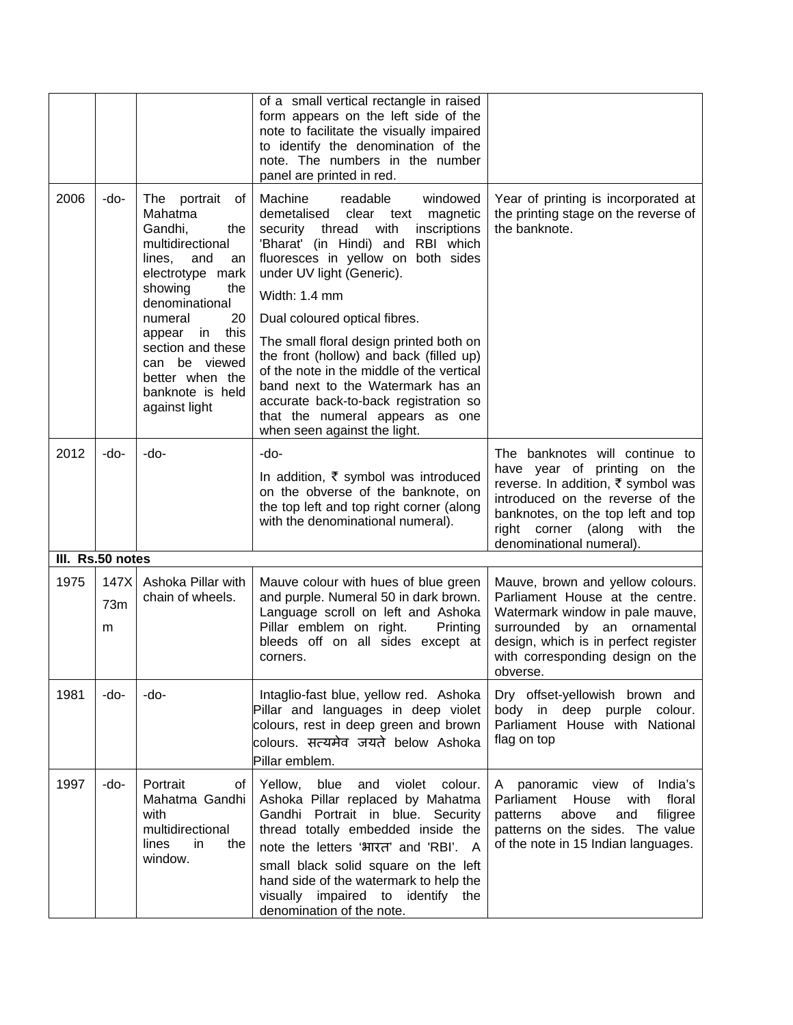|      |                  |                                                                                                                                                                                                                                                                                           | of a small vertical rectangle in raised<br>form appears on the left side of the<br>note to facilitate the visually impaired<br>to identify the denomination of the<br>note. The numbers in the number<br>panel are printed in red.                                                                                                                                                                                                                                                                                                                             |                                                                                                                                                                                                                                                     |
|------|------------------|-------------------------------------------------------------------------------------------------------------------------------------------------------------------------------------------------------------------------------------------------------------------------------------------|----------------------------------------------------------------------------------------------------------------------------------------------------------------------------------------------------------------------------------------------------------------------------------------------------------------------------------------------------------------------------------------------------------------------------------------------------------------------------------------------------------------------------------------------------------------|-----------------------------------------------------------------------------------------------------------------------------------------------------------------------------------------------------------------------------------------------------|
| 2006 | -do-             | The portrait<br>ot<br>Mahatma<br>Gandhi,<br>the<br>multidirectional<br>lines,<br>and<br>an<br>electrotype mark<br>showing<br>the<br>denominational<br>20<br>numeral<br>this<br>appear<br>in<br>section and these<br>can be viewed<br>better when the<br>banknote is held<br>against light | Machine<br>readable<br>windowed<br>demetalised clear text<br>magnetic<br>security thread<br>with<br>inscriptions<br>'Bharat' (in Hindi) and RBI which<br>fluoresces in yellow on both sides<br>under UV light (Generic).<br>Width: 1.4 mm<br>Dual coloured optical fibres.<br>The small floral design printed both on<br>the front (hollow) and back (filled up)<br>of the note in the middle of the vertical<br>band next to the Watermark has an<br>accurate back-to-back registration so<br>that the numeral appears as one<br>when seen against the light. | Year of printing is incorporated at<br>the printing stage on the reverse of<br>the banknote.                                                                                                                                                        |
| 2012 | -do-             | -do-                                                                                                                                                                                                                                                                                      | -do-<br>In addition, ₹ symbol was introduced<br>on the obverse of the banknote, on<br>the top left and top right corner (along<br>with the denominational numeral).                                                                                                                                                                                                                                                                                                                                                                                            | The banknotes will continue to<br>have year of printing on the<br>reverse. In addition, ₹ symbol was<br>introduced on the reverse of the<br>banknotes, on the top left and top<br>right corner<br>(along<br>with<br>the<br>denominational numeral). |
|      | III. Rs.50 notes |                                                                                                                                                                                                                                                                                           |                                                                                                                                                                                                                                                                                                                                                                                                                                                                                                                                                                |                                                                                                                                                                                                                                                     |
| 1975 | 147X<br>73m<br>m | Ashoka Pillar with<br>chain of wheels.                                                                                                                                                                                                                                                    | Mauve colour with hues of blue green<br>and purple. Numeral 50 in dark brown.<br>Language scroll on left and Ashoka<br>Pillar emblem on right.<br>Printing<br>bleeds off on all sides except at<br>corners.                                                                                                                                                                                                                                                                                                                                                    | Mauve, brown and yellow colours.<br>Parliament House at the centre.<br>Watermark window in pale mauve,<br>surrounded by an ornamental<br>design, which is in perfect register<br>with corresponding design on the<br>obverse.                       |
| 1981 | -do-             | -do-                                                                                                                                                                                                                                                                                      | Intaglio-fast blue, yellow red. Ashoka<br>Pillar and languages in deep violet<br>colours, rest in deep green and brown<br>colours. सत्यमेव जयते below Ashoka<br>Pillar emblem.                                                                                                                                                                                                                                                                                                                                                                                 | Dry offset-yellowish brown and<br>body in deep purple colour.<br>Parliament House with National<br>flag on top                                                                                                                                      |
| 1997 | -do-             | Portrait<br>οf<br>Mahatma Gandhi<br>with<br>multidirectional<br>lines<br>in<br>the<br>window.                                                                                                                                                                                             | Yellow,<br>blue<br>violet<br>colour.<br>and<br>Ashoka Pillar replaced by Mahatma<br>Gandhi Portrait in blue. Security<br>thread totally embedded inside the<br>note the letters 'भारत' and 'RBI'. A<br>small black solid square on the left<br>hand side of the watermark to help the<br>visually impaired to identify the<br>denomination of the note.                                                                                                                                                                                                        | India's<br>panoramic view<br>of<br>A<br>floral<br>Parliament<br>House<br>with<br>above<br>filigree<br>patterns<br>and<br>patterns on the sides. The value<br>of the note in 15 Indian languages.                                                    |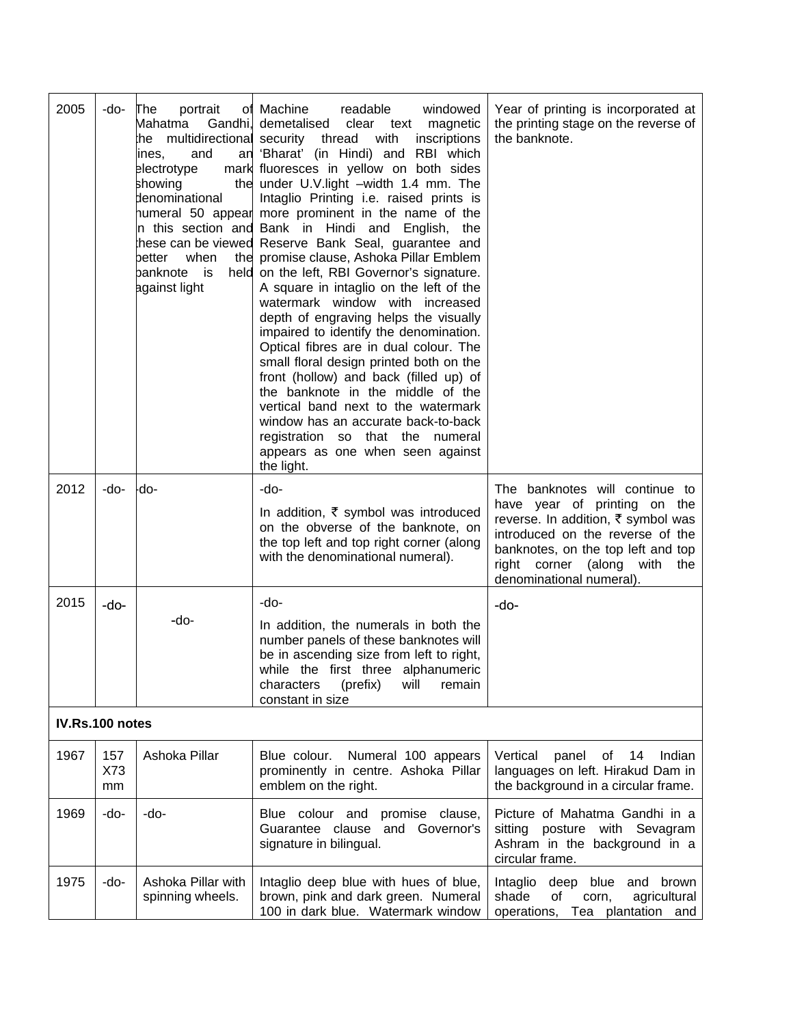| 2005            | -do-             | The<br>portrait<br>Mahatma<br>Gandhi,<br>the<br>and<br>ines,<br>electrotype<br>showing<br>denominational<br>when<br>better<br>panknote<br>is<br>against light | of Machine<br>readable<br>windowed<br>demetalised clear text<br>magnetic<br>multidirectional security thread<br>with<br>inscriptions<br>an 'Bharat' (in Hindi) and RBI which<br>mark fluoresces in yellow on both sides<br>the under U.V.light -width 1.4 mm. The<br>Intaglio Printing i.e. raised prints is<br>humeral 50 appear more prominent in the name of the<br>In this section and Bank in Hindi and English,<br>the<br>hese can be viewed Reserve Bank Seal, guarantee and<br>the promise clause, Ashoka Pillar Emblem<br>held on the left, RBI Governor's signature.<br>A square in intaglio on the left of the<br>watermark window with increased<br>depth of engraving helps the visually<br>impaired to identify the denomination.<br>Optical fibres are in dual colour. The<br>small floral design printed both on the<br>front (hollow) and back (filled up) of<br>the banknote in the middle of the<br>vertical band next to the watermark<br>window has an accurate back-to-back<br>registration so that the numeral<br>appears as one when seen against<br>the light. | Year of printing is incorporated at<br>the printing stage on the reverse of<br>the banknote.                                                                                                                                               |
|-----------------|------------------|---------------------------------------------------------------------------------------------------------------------------------------------------------------|-----------------------------------------------------------------------------------------------------------------------------------------------------------------------------------------------------------------------------------------------------------------------------------------------------------------------------------------------------------------------------------------------------------------------------------------------------------------------------------------------------------------------------------------------------------------------------------------------------------------------------------------------------------------------------------------------------------------------------------------------------------------------------------------------------------------------------------------------------------------------------------------------------------------------------------------------------------------------------------------------------------------------------------------------------------------------------------------|--------------------------------------------------------------------------------------------------------------------------------------------------------------------------------------------------------------------------------------------|
| 2012            | -do-             | -do-                                                                                                                                                          | -do-<br>In addition, $\bar{\tau}$ symbol was introduced<br>on the obverse of the banknote, on<br>the top left and top right corner (along<br>with the denominational numeral).                                                                                                                                                                                                                                                                                                                                                                                                                                                                                                                                                                                                                                                                                                                                                                                                                                                                                                          | The banknotes will continue to<br>have year of printing on the<br>reverse. In addition, ₹ symbol was<br>introduced on the reverse of the<br>banknotes, on the top left and top<br>right corner (along with the<br>denominational numeral). |
| 2015            | -do-             | -do-                                                                                                                                                          | -do-<br>In addition, the numerals in both the<br>number panels of these banknotes will<br>be in ascending size from left to right,<br>while the first three alphanumeric<br>characters<br>(prefix)<br>will<br>remain<br>constant in size                                                                                                                                                                                                                                                                                                                                                                                                                                                                                                                                                                                                                                                                                                                                                                                                                                                | -do-                                                                                                                                                                                                                                       |
| IV.Rs.100 notes |                  |                                                                                                                                                               |                                                                                                                                                                                                                                                                                                                                                                                                                                                                                                                                                                                                                                                                                                                                                                                                                                                                                                                                                                                                                                                                                         |                                                                                                                                                                                                                                            |
| 1967            | 157<br>X73<br>mm | Ashoka Pillar                                                                                                                                                 | Numeral 100 appears<br>Blue colour.<br>prominently in centre. Ashoka Pillar<br>emblem on the right.                                                                                                                                                                                                                                                                                                                                                                                                                                                                                                                                                                                                                                                                                                                                                                                                                                                                                                                                                                                     | Vertical<br>panel<br>Indian<br>of<br>14<br>languages on left. Hirakud Dam in<br>the background in a circular frame.                                                                                                                        |
| 1969            | -do-             | -do-                                                                                                                                                          | Blue colour and<br>promise clause,<br>Guarantee clause<br>and Governor's<br>signature in bilingual.                                                                                                                                                                                                                                                                                                                                                                                                                                                                                                                                                                                                                                                                                                                                                                                                                                                                                                                                                                                     | Picture of Mahatma Gandhi in a<br>sitting posture with Sevagram<br>Ashram in the background in a<br>circular frame.                                                                                                                        |
| 1975            | -do-             | Ashoka Pillar with<br>spinning wheels.                                                                                                                        | Intaglio deep blue with hues of blue,<br>brown, pink and dark green. Numeral<br>100 in dark blue. Watermark window                                                                                                                                                                                                                                                                                                                                                                                                                                                                                                                                                                                                                                                                                                                                                                                                                                                                                                                                                                      | Intaglio deep blue and<br>brown<br>shade<br>of<br>agricultural<br>corn,<br>Tea plantation and<br>operations,                                                                                                                               |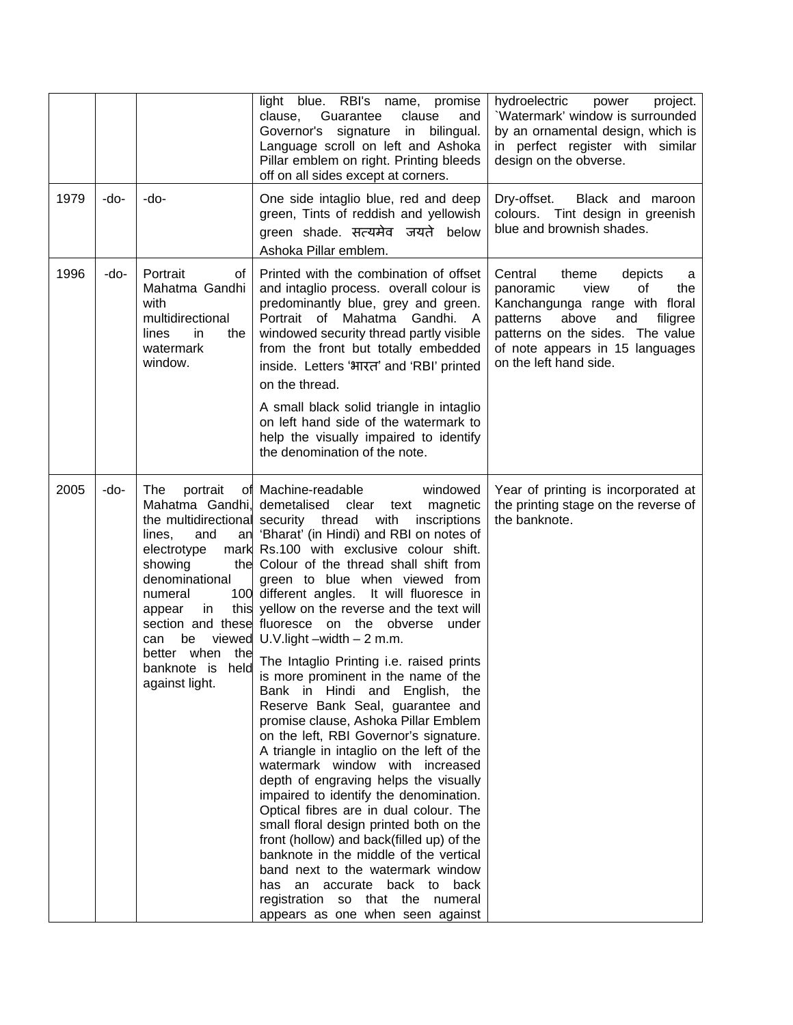|      |      |                                                                                                                                                                                 | light blue. RBI's name, promise<br>clause,<br>Guarantee<br>clause<br>and<br>signature in<br>bilingual.<br>Governor's<br>Language scroll on left and Ashoka<br>Pillar emblem on right. Printing bleeds<br>off on all sides except at corners.                                                                                                                                                                                                                                                                                                                                                                                                                                                                                                                                                                                                                                                                                                                                                                                                                                                                                                                                                                                                     | hydroelectric<br>power<br>project.<br>'Watermark' window is surrounded<br>by an ornamental design, which is<br>in perfect register with similar<br>design on the obverse.                                                                     |
|------|------|---------------------------------------------------------------------------------------------------------------------------------------------------------------------------------|--------------------------------------------------------------------------------------------------------------------------------------------------------------------------------------------------------------------------------------------------------------------------------------------------------------------------------------------------------------------------------------------------------------------------------------------------------------------------------------------------------------------------------------------------------------------------------------------------------------------------------------------------------------------------------------------------------------------------------------------------------------------------------------------------------------------------------------------------------------------------------------------------------------------------------------------------------------------------------------------------------------------------------------------------------------------------------------------------------------------------------------------------------------------------------------------------------------------------------------------------|-----------------------------------------------------------------------------------------------------------------------------------------------------------------------------------------------------------------------------------------------|
| 1979 | -do- | -do-                                                                                                                                                                            | One side intaglio blue, red and deep<br>green, Tints of reddish and yellowish<br>green shade. सत्यमेव जयते below<br>Ashoka Pillar emblem.                                                                                                                                                                                                                                                                                                                                                                                                                                                                                                                                                                                                                                                                                                                                                                                                                                                                                                                                                                                                                                                                                                        | Dry-offset.<br>Black and maroon<br>colours. Tint design in greenish<br>blue and brownish shades.                                                                                                                                              |
| 1996 | -do- | Portrait<br>οf<br>Mahatma Gandhi<br>with<br>multidirectional<br>lines<br>in<br>the<br>watermark<br>window.                                                                      | Printed with the combination of offset<br>and intaglio process. overall colour is<br>predominantly blue, grey and green.<br>Mahatma Gandhi. A<br>Portrait of<br>windowed security thread partly visible<br>from the front but totally embedded<br>inside. Letters 'भारत' and 'RBI' printed<br>on the thread.<br>A small black solid triangle in intaglio<br>on left hand side of the watermark to<br>help the visually impaired to identify<br>the denomination of the note.                                                                                                                                                                                                                                                                                                                                                                                                                                                                                                                                                                                                                                                                                                                                                                     | Central<br>theme<br>depicts<br>a<br>view<br>of<br>panoramic<br>the<br>Kanchangunga range with floral<br>patterns<br>above<br>and<br>filigree<br>patterns on the sides. The value<br>of note appears in 15 languages<br>on the left hand side. |
| 2005 | -do- | The<br>portrait<br>the multidirectional security thread<br>lines,<br>and<br>electrotype<br>showing<br>denominational<br>numeral<br>in.<br>appear<br>be<br>can<br>against light. | of Machine-readable<br>windowed<br>Mahatma Gandhi, demetalised clear text<br>magnetic<br>with<br>inscriptions<br>an 'Bharat' (in Hindi) and RBI on notes of<br>mark Rs.100 with exclusive colour shift.<br>the Colour of the thread shall shift from<br>green to blue when viewed from<br>100 different angles. It will fluoresce in<br>this yellow on the reverse and the text will<br>section and these fluoresce on the obverse under<br>viewed $U.V.light - width - 2 m.m.$<br>better when the The Intaglio Printing i.e. raised prints<br>is more prominent in the name of the<br>Bank in Hindi and English,<br>the<br>Reserve Bank Seal, guarantee and<br>promise clause, Ashoka Pillar Emblem<br>on the left, RBI Governor's signature.<br>A triangle in intaglio on the left of the<br>watermark window with increased<br>depth of engraving helps the visually<br>impaired to identify the denomination.<br>Optical fibres are in dual colour. The<br>small floral design printed both on the<br>front (hollow) and back(filled up) of the<br>banknote in the middle of the vertical<br>band next to the watermark window<br>an accurate back to<br>back<br>has<br>registration so that the numeral<br>appears as one when seen against | Year of printing is incorporated at<br>the printing stage on the reverse of<br>the banknote.                                                                                                                                                  |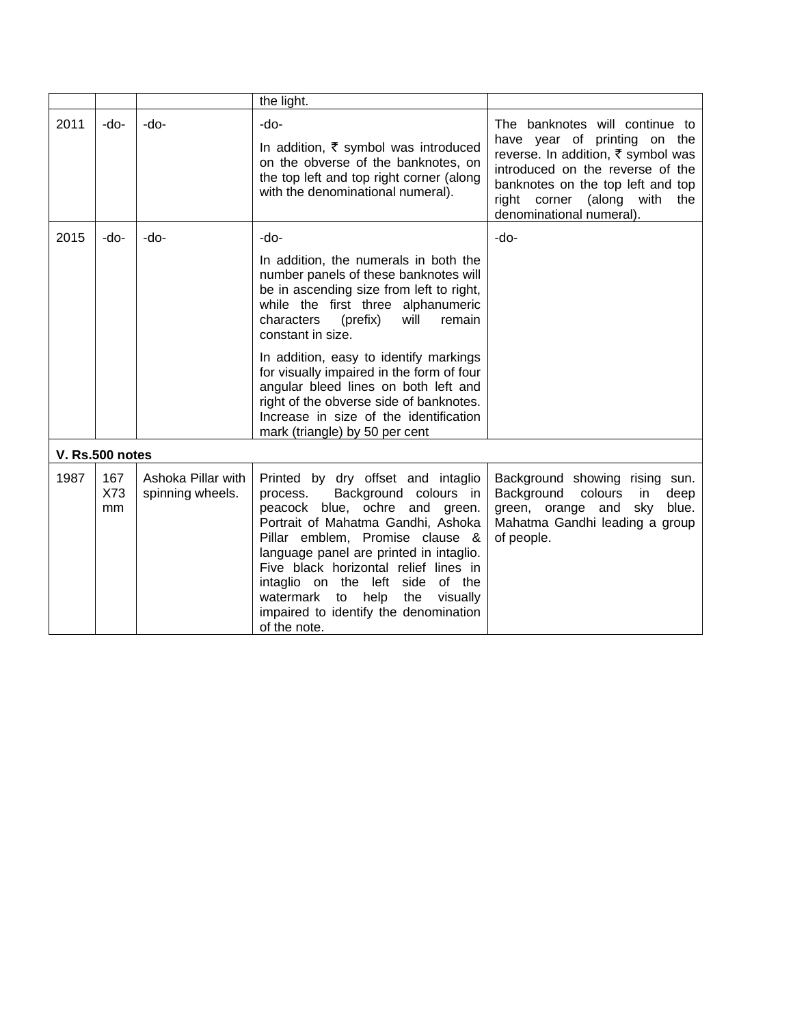|      |                  |                                        | the light.                                                                                                                                                                                                                                                                                                                                                                                                        |                                                                                                                                                                                                                                              |
|------|------------------|----------------------------------------|-------------------------------------------------------------------------------------------------------------------------------------------------------------------------------------------------------------------------------------------------------------------------------------------------------------------------------------------------------------------------------------------------------------------|----------------------------------------------------------------------------------------------------------------------------------------------------------------------------------------------------------------------------------------------|
| 2011 | -do-             | -do-                                   | -do-<br>In addition, $\bar{\tau}$ symbol was introduced<br>on the obverse of the banknotes, on<br>the top left and top right corner (along<br>with the denominational numeral).                                                                                                                                                                                                                                   | The banknotes will continue to<br>have year of printing on the<br>reverse. In addition, ₹ symbol was<br>introduced on the reverse of the<br>banknotes on the top left and top<br>right corner (along with<br>the<br>denominational numeral). |
| 2015 | -do-             | -do-                                   | $-do-$<br>In addition, the numerals in both the<br>number panels of these banknotes will<br>be in ascending size from left to right,<br>while the first three alphanumeric<br>characters<br>remain<br>(prefix)<br>will<br>constant in size.<br>In addition, easy to identify markings                                                                                                                             | -do-                                                                                                                                                                                                                                         |
|      | V. Rs.500 notes  |                                        | for visually impaired in the form of four<br>angular bleed lines on both left and<br>right of the obverse side of banknotes.<br>Increase in size of the identification<br>mark (triangle) by 50 per cent                                                                                                                                                                                                          |                                                                                                                                                                                                                                              |
| 1987 | 167<br>X73<br>mm | Ashoka Pillar with<br>spinning wheels. | Printed by dry offset and intaglio<br>Background colours in<br>process.<br>peacock blue, ochre and green.<br>Portrait of Mahatma Gandhi, Ashoka<br>Pillar emblem, Promise clause &<br>language panel are printed in intaglio.<br>Five black horizontal relief lines in<br>intaglio on the left side of the<br>watermark<br>to<br>help<br>the<br>visually<br>impaired to identify the denomination<br>of the note. | Background showing rising sun.<br>Background<br>colours<br>in<br>deep<br>green, orange and<br>sky<br>blue.<br>Mahatma Gandhi leading a group<br>of people.                                                                                   |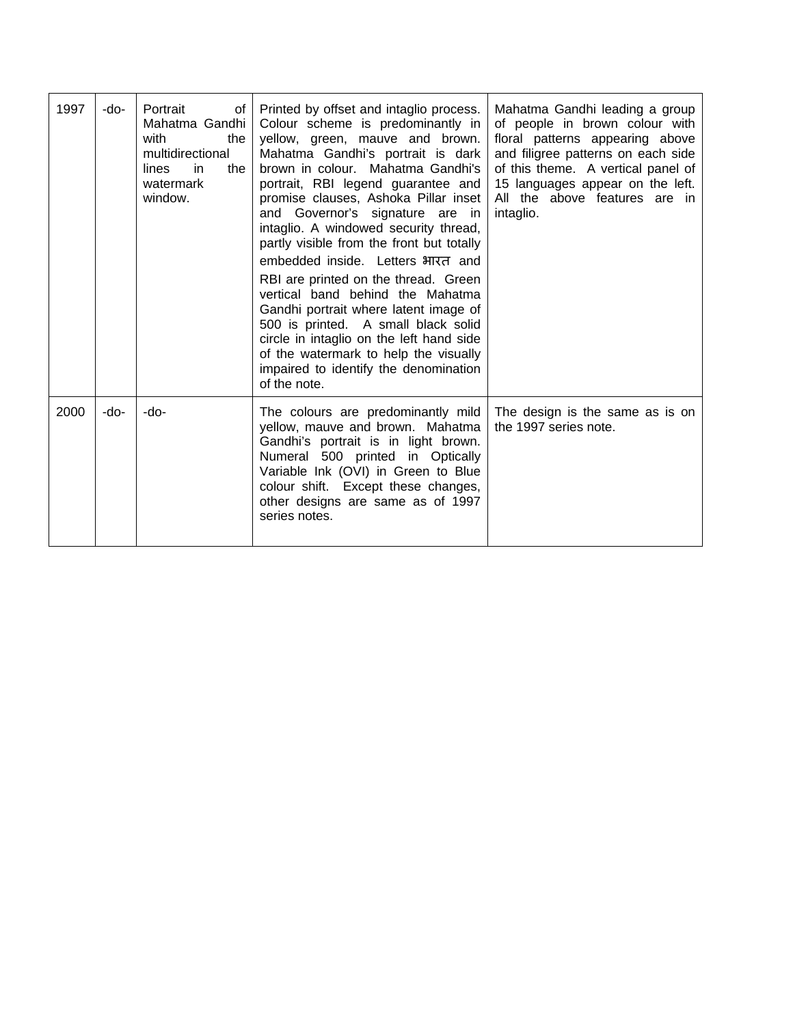| 1997 | -do- | Portrait<br>of<br>Mahatma Gandhi<br>with<br>the<br>multidirectional<br>lines<br>in.<br>the<br>watermark<br>window. | Printed by offset and intaglio process.<br>Colour scheme is predominantly in<br>yellow, green, mauve and brown.<br>Mahatma Gandhi's portrait is dark<br>brown in colour. Mahatma Gandhi's<br>portrait, RBI legend guarantee and<br>promise clauses, Ashoka Pillar inset<br>and Governor's signature are in<br>intaglio. A windowed security thread,<br>partly visible from the front but totally<br>embedded inside. Letters भारत and<br>RBI are printed on the thread. Green<br>vertical band behind the Mahatma<br>Gandhi portrait where latent image of<br>500 is printed. A small black solid<br>circle in intaglio on the left hand side<br>of the watermark to help the visually<br>impaired to identify the denomination<br>of the note. | Mahatma Gandhi leading a group<br>of people in brown colour with<br>floral patterns appearing above<br>and filigree patterns on each side<br>of this theme. A vertical panel of<br>15 languages appear on the left.<br>All the above features are in<br>intaglio. |
|------|------|--------------------------------------------------------------------------------------------------------------------|-------------------------------------------------------------------------------------------------------------------------------------------------------------------------------------------------------------------------------------------------------------------------------------------------------------------------------------------------------------------------------------------------------------------------------------------------------------------------------------------------------------------------------------------------------------------------------------------------------------------------------------------------------------------------------------------------------------------------------------------------|-------------------------------------------------------------------------------------------------------------------------------------------------------------------------------------------------------------------------------------------------------------------|
| 2000 | -do- | -do-                                                                                                               | The colours are predominantly mild<br>yellow, mauve and brown. Mahatma<br>Gandhi's portrait is in light brown.<br>Numeral 500 printed in Optically<br>Variable Ink (OVI) in Green to Blue<br>colour shift. Except these changes,<br>other designs are same as of 1997<br>series notes.                                                                                                                                                                                                                                                                                                                                                                                                                                                          | The design is the same as is on<br>the 1997 series note.                                                                                                                                                                                                          |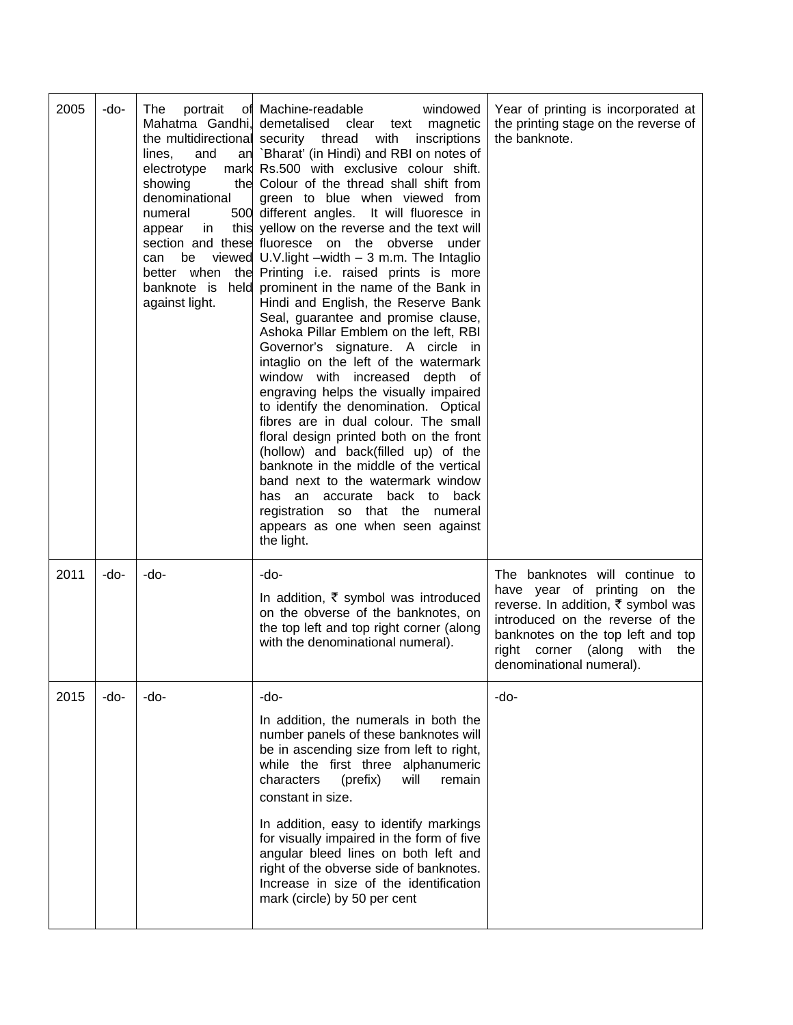| 2005 | -do- | The<br>Mahatma Gandhi, demetalised<br>lines,<br>and<br>electrotype<br>showing<br>denominational<br>numeral<br>appear<br>in<br>be<br>can<br>better when<br>against light. | portrait of Machine-readable<br>windowed<br>clear<br>magnetic<br>text<br>the multidirectional security thread with<br>inscriptions<br>an `Bharat' (in Hindi) and RBI on notes of<br>mark Rs.500 with exclusive colour shift.<br>the Colour of the thread shall shift from<br>green to blue when viewed from<br>500 different angles. It will fluoresce in<br>this yellow on the reverse and the text will<br>section and these fluoresce on the obverse<br>under<br>viewed $U.V$ light $-width - 3$ m.m. The Intaglio<br>the Printing i.e. raised prints is more<br>banknote is held prominent in the name of the Bank in<br>Hindi and English, the Reserve Bank<br>Seal, guarantee and promise clause,<br>Ashoka Pillar Emblem on the left, RBI<br>Governor's signature. A circle in<br>intaglio on the left of the watermark<br>window with increased depth of<br>engraving helps the visually impaired<br>to identify the denomination. Optical<br>fibres are in dual colour. The small<br>floral design printed both on the front<br>(hollow) and back(filled up) of the<br>banknote in the middle of the vertical<br>band next to the watermark window<br>accurate back to back<br>has an<br>registration so that the numeral<br>appears as one when seen against<br>the light. | Year of printing is incorporated at<br>the printing stage on the reverse of<br>the banknote.                                                                                                                                                    |
|------|------|--------------------------------------------------------------------------------------------------------------------------------------------------------------------------|--------------------------------------------------------------------------------------------------------------------------------------------------------------------------------------------------------------------------------------------------------------------------------------------------------------------------------------------------------------------------------------------------------------------------------------------------------------------------------------------------------------------------------------------------------------------------------------------------------------------------------------------------------------------------------------------------------------------------------------------------------------------------------------------------------------------------------------------------------------------------------------------------------------------------------------------------------------------------------------------------------------------------------------------------------------------------------------------------------------------------------------------------------------------------------------------------------------------------------------------------------------------------------------|-------------------------------------------------------------------------------------------------------------------------------------------------------------------------------------------------------------------------------------------------|
| 2011 | -do- | -do-                                                                                                                                                                     | -do-<br>In addition, $\bar{\tau}$ symbol was introduced<br>on the obverse of the banknotes, on<br>the top left and top right corner (along<br>with the denominational numeral).                                                                                                                                                                                                                                                                                                                                                                                                                                                                                                                                                                                                                                                                                                                                                                                                                                                                                                                                                                                                                                                                                                      | The banknotes will continue to<br>have year of printing on the<br>reverse. In addition, ₹ symbol was<br>introduced on the reverse of the<br>banknotes on the top left and top<br>right corner (along<br>with<br>the<br>denominational numeral). |
| 2015 | -do- | -do-                                                                                                                                                                     | -do-<br>In addition, the numerals in both the<br>number panels of these banknotes will<br>be in ascending size from left to right,<br>while the first three alphanumeric<br>characters<br>(prefix)<br>will<br>remain<br>constant in size.<br>In addition, easy to identify markings<br>for visually impaired in the form of five<br>angular bleed lines on both left and<br>right of the obverse side of banknotes.<br>Increase in size of the identification<br>mark (circle) by 50 per cent                                                                                                                                                                                                                                                                                                                                                                                                                                                                                                                                                                                                                                                                                                                                                                                        | -do-                                                                                                                                                                                                                                            |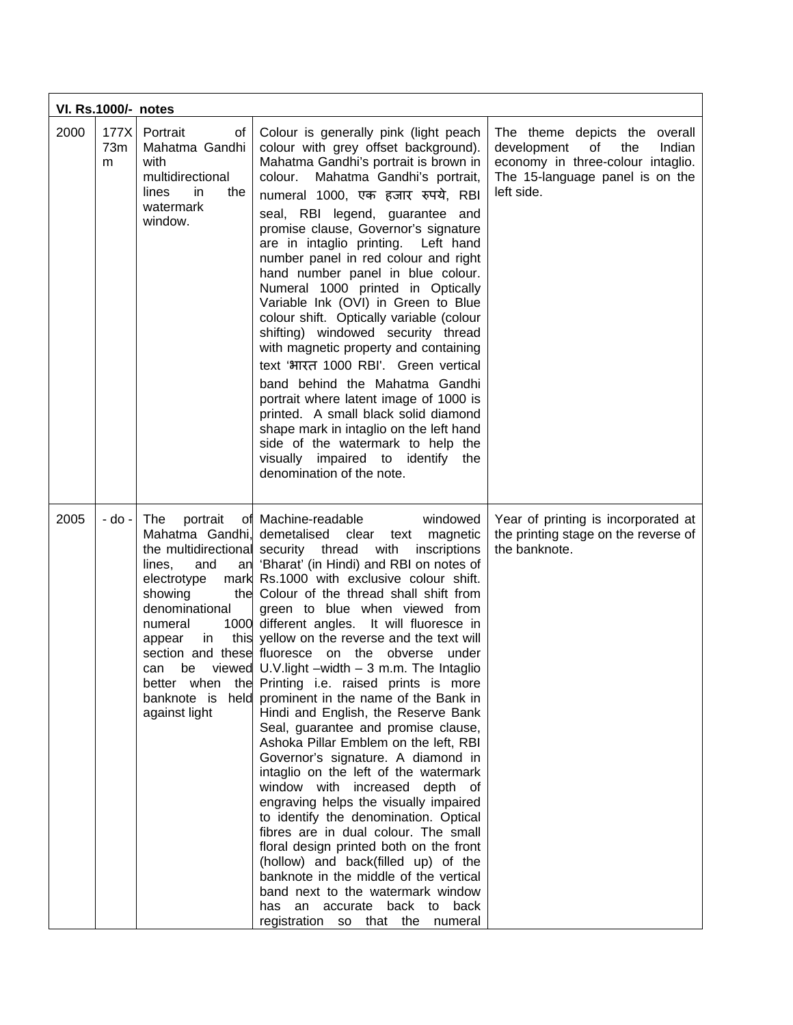|      | <b>VI. Rs.1000/- notes</b> |                                                                                                                                                                                                    |                                                                                                                                                                                                                                                                                                                                                                                                                                                                                                                                                                                                                                                                                                                                                                                                                                                                                                                                                                                                                                                                                                                                                                                                                      |                                                                                                                                                           |  |  |
|------|----------------------------|----------------------------------------------------------------------------------------------------------------------------------------------------------------------------------------------------|----------------------------------------------------------------------------------------------------------------------------------------------------------------------------------------------------------------------------------------------------------------------------------------------------------------------------------------------------------------------------------------------------------------------------------------------------------------------------------------------------------------------------------------------------------------------------------------------------------------------------------------------------------------------------------------------------------------------------------------------------------------------------------------------------------------------------------------------------------------------------------------------------------------------------------------------------------------------------------------------------------------------------------------------------------------------------------------------------------------------------------------------------------------------------------------------------------------------|-----------------------------------------------------------------------------------------------------------------------------------------------------------|--|--|
| 2000 | 177X<br>73m<br>m           | Portrait<br>of<br>Mahatma Gandhi<br>with<br>multidirectional<br>lines<br>in<br>the<br>watermark<br>window.                                                                                         | Colour is generally pink (light peach<br>colour with grey offset background).<br>Mahatma Gandhi's portrait is brown in<br>Mahatma Gandhi's portrait,<br>colour.<br>numeral 1000, एक हजार रुपये, RBI<br>seal, RBI legend, guarantee and<br>promise clause, Governor's signature<br>are in intaglio printing.<br>Left hand<br>number panel in red colour and right<br>hand number panel in blue colour.<br>Numeral 1000 printed in Optically<br>Variable Ink (OVI) in Green to Blue<br>colour shift. Optically variable (colour<br>shifting) windowed security thread<br>with magnetic property and containing<br>text 'भारत 1000 RBI'. Green vertical<br>band behind the Mahatma Gandhi<br>portrait where latent image of 1000 is<br>printed. A small black solid diamond<br>shape mark in intaglio on the left hand<br>side of the watermark to help the<br>visually impaired to identify the<br>denomination of the note.                                                                                                                                                                                                                                                                                           | The theme depicts the overall<br>development<br>the<br>of<br>Indian<br>economy in three-colour intaglio.<br>The 15-language panel is on the<br>left side. |  |  |
| 2005 | - do -                     | <b>The</b><br>portrait<br>lines,<br>and<br>electrotype<br>showing<br>the<br>denominational<br>numeral<br>appear<br>in.<br>section and these fluoresce<br>can<br>be<br>better when<br>against light | of Machine-readable<br>windowed<br>Mahatma Gandhi, demetalised clear<br>text magnetic<br>the multidirectional security thread with<br>inscriptions<br>an 'Bharat' (in Hindi) and RBI on notes of<br>mark Rs.1000 with exclusive colour shift.<br>Colour of the thread shall shift from<br>green to blue when viewed from<br>1000 different angles. It will fluoresce in<br>this yellow on the reverse and the text will<br>on the<br>obverse<br>under<br>viewed $U.V.light - width - 3 m.m.$ The Intaglio<br>the Printing i.e. raised prints is more<br>banknote is held prominent in the name of the Bank in<br>Hindi and English, the Reserve Bank<br>Seal, guarantee and promise clause,<br>Ashoka Pillar Emblem on the left, RBI<br>Governor's signature. A diamond in<br>intaglio on the left of the watermark<br>window with increased depth of<br>engraving helps the visually impaired<br>to identify the denomination. Optical<br>fibres are in dual colour. The small<br>floral design printed both on the front<br>(hollow) and back(filled up) of the<br>banknote in the middle of the vertical<br>band next to the watermark window<br>has an accurate back to back<br>registration so that the numeral | Year of printing is incorporated at<br>the printing stage on the reverse of<br>the banknote.                                                              |  |  |